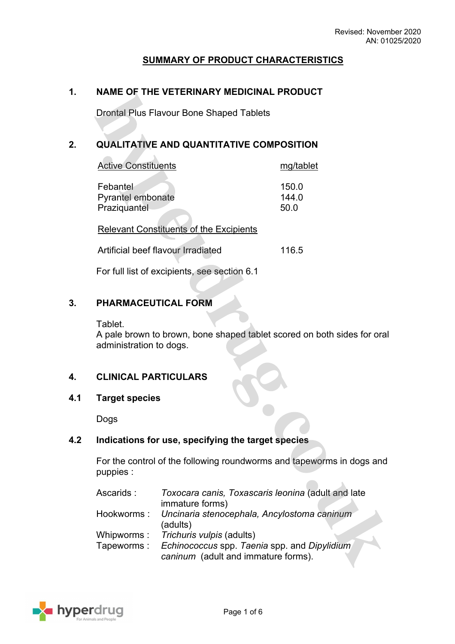# **SUMMARY OF PRODUCT CHARACTERISTICS**

### **1. NAME OF THE VETERINARY MEDICINAL PRODUCT**

Drontal Plus Flavour Bone Shaped Tablets

 $\mathcal{N}$ 

# **2. QUALITATIVE AND QUANTITATIVE COMPOSITION**

| <b>Active Constituents</b>                           | mg/tablet              |
|------------------------------------------------------|------------------------|
| Febantel<br><b>Pyrantel embonate</b><br>Praziquantel | 150.0<br>144.0<br>50.0 |
| <b>Relevant Constituents of the Excipients</b>       |                        |

Artificial beef flavour Irradiated 116.5

For full list of excipients, see section 6.1

### **3. PHARMACEUTICAL FORM**

#### Tablet.

 $\sim$ 

A pale brown to brown, bone shaped tablet scored on both sides for oral administration to dogs.

### **4. CLINICAL PARTICULARS**

### **4.1 Target species**

Dogs

### **4.2 Indications for use, specifying the target species**

For the control of the following roundworms and tapeworms in dogs and puppies :

| Ascarids:  | Toxocara canis, Toxascaris leonina (adult and late     |  |
|------------|--------------------------------------------------------|--|
|            | immature forms)                                        |  |
|            | Hookworms: Uncinaria stenocephala, Ancylostoma caninum |  |
|            | (adults)                                               |  |
| Whipworms: | Trichuris vulpis (adults)                              |  |
| Tapeworms: | Echinococcus spp. Taenia spp. and Dipylidium           |  |
|            | caninum (adult and immature forms).                    |  |

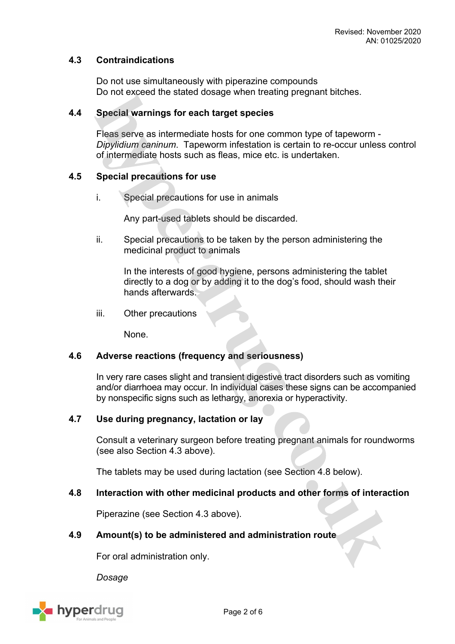### **4.3 Contraindications**

Do not use simultaneously with piperazine compounds Do not exceed the stated dosage when treating pregnant bitches.

### **4.4 Special warnings for each target species**

Fleas serve as intermediate hosts for one common type of tapeworm - *Dipylidium caninum*. Tapeworm infestation is certain to re-occur unless control of intermediate hosts such as fleas, mice etc. is undertaken.

### **4.5 Special precautions for use**

i. Special precautions for use in animals

Any part-used tablets should be discarded.

ii. Special precautions to be taken by the person administering the medicinal product to animals

In the interests of good hygiene, persons administering the tablet directly to a dog or by adding it to the dog's food, should wash their hands afterwards.

iii. Other precautions

None.

### **4.6 Adverse reactions (frequency and seriousness)**

In very rare cases slight and transient digestive tract disorders such as vomiting and/or diarrhoea may occur. In individual cases these signs can be accompanied by nonspecific signs such as lethargy, anorexia or hyperactivity.

### **4.7 Use during pregnancy, lactation or lay**

Consult a veterinary surgeon before treating pregnant animals for roundworms (see also Section 4.3 above).

The tablets may be used during lactation (see Section 4.8 below).

### **4.8 Interaction with other medicinal products and other forms of interaction**

Piperazine (see Section 4.3 above).

### **4.9 Amount(s) to be administered and administration route**

For oral administration only.

*Dosage*

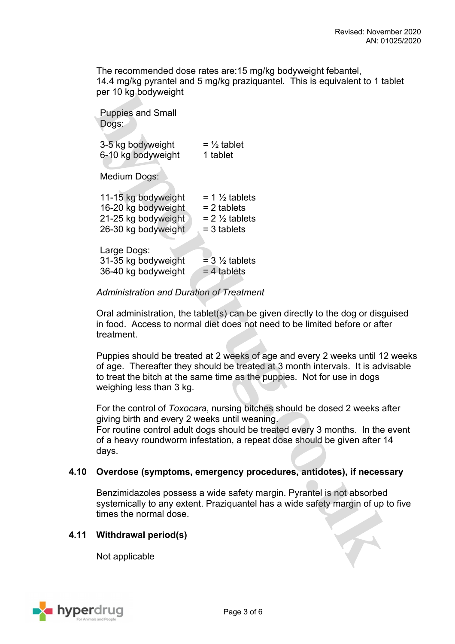The recommended dose rates are:15 mg/kg bodyweight febantel, 14.4 mg/kg pyrantel and 5 mg/kg praziquantel. This is equivalent to 1 tablet per 10 kg bodyweight

Puppies and Small Dogs:

| 3-5 kg bodyweight  | $=$ 1/2 tablet |
|--------------------|----------------|
| 6-10 kg bodyweight | 1 tablet       |
|                    |                |

Medium Dogs: **Contract Contract** 

| 11-15 kg bodyweight                | $= 1 \frac{1}{2}$ tablets   |
|------------------------------------|-----------------------------|
| 16-20 kg bodyweight                | $= 2$ tablets               |
| 21-25 kg bodyweight                | $= 2 \frac{1}{2}$ tablets   |
| 26-30 kg bodyweight                | $=$ 3 tablets               |
| Large Dogs:<br>31-35 kg bodyweight | $=$ 3 $\frac{1}{2}$ tablets |

 $36-40$  kg bodyweight  $\qquad$  = 4 tablets

### *Administration and Duration of Treatment*

Oral administration, the tablet(s) can be given directly to the dog or disguised in food. Access to normal diet does not need to be limited before or after treatment.

Puppies should be treated at 2 weeks of age and every 2 weeks until 12 weeks of age. Thereafter they should be treated at 3 month intervals. It is advisable to treat the bitch at the same time as the puppies. Not for use in dogs weighing less than 3 kg.

For the control of *Toxocara*, nursing bitches should be dosed 2 weeks after giving birth and every 2 weeks until weaning.

For routine control adult dogs should be treated every 3 months. In the event of a heavy roundworm infestation, a repeat dose should be given after 14 days.

### **4.10 Overdose (symptoms, emergency procedures, antidotes), if necessary**

Benzimidazoles possess a wide safety margin. Pyrantel is not absorbed systemically to any extent. Praziquantel has a wide safety margin of up to five times the normal dose.

### **4.11 Withdrawal period(s)**

Not applicable

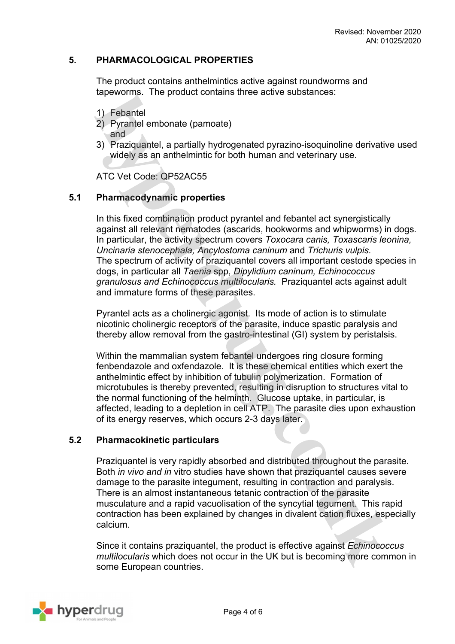#### **5. PHARMACOLOGICAL PROPERTIES**

The product contains anthelmintics active against roundworms and tapeworms. The product contains three active substances:

- 1) Febantel
- 2) Pyrantel embonate (pamoate) and
- 3) Praziquantel, a partially hydrogenated pyrazino-isoquinoline derivative used widely as an anthelmintic for both human and veterinary use.

ATC Vet Code: QP52AC55

#### **5.1 Pharmacodynamic properties**

In this fixed combination product pyrantel and febantel act synergistically against all relevant nematodes (ascarids, hookworms and whipworms) in dogs. In particular, the activity spectrum covers *Toxocara canis, Toxascaris leonina, Uncinaria stenocephala, Ancylostoma caninum* and *Trichuris vulpis.* The spectrum of activity of praziquantel covers all important cestode species in dogs, in particular all *Taenia* spp, *Dipylidium caninum, Echinococcus granulosus and Echinococcus multilocularis.* Praziquantel acts against adult and immature forms of these parasites.

Pyrantel acts as a cholinergic agonist. Its mode of action is to stimulate nicotinic cholinergic receptors of the parasite, induce spastic paralysis and thereby allow removal from the gastro-intestinal (GI) system by peristalsis.

Within the mammalian system febantel undergoes ring closure forming fenbendazole and oxfendazole. It is these chemical entities which exert the anthelmintic effect by inhibition of tubulin polymerization. Formation of microtubules is thereby prevented, resulting in disruption to structures vital to the normal functioning of the helminth. Glucose uptake, in particular, is affected, leading to a depletion in cell ATP. The parasite dies upon exhaustion of its energy reserves, which occurs 2-3 days later.

#### **5.2 Pharmacokinetic particulars**

Praziquantel is very rapidly absorbed and distributed throughout the parasite. Both *in vivo and in* vitro studies have shown that praziquantel causes severe damage to the parasite integument, resulting in contraction and paralysis. There is an almost instantaneous tetanic contraction of the parasite musculature and a rapid vacuolisation of the syncytial tegument. This rapid contraction has been explained by changes in divalent cation fluxes, especially calcium.

Since it contains praziquantel, the product is effective against *Echinococcus multilocularis* which does not occur in the UK but is becoming more common in some European countries.

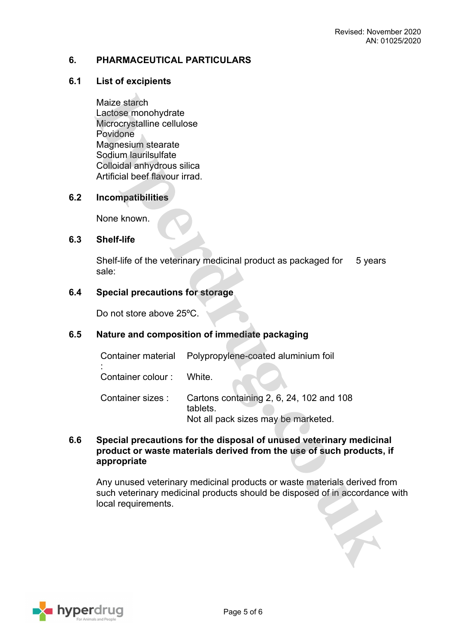### **6. PHARMACEUTICAL PARTICULARS**

### **6.1 List of excipients**

Maize starch Lactose monohydrate Microcrystalline cellulose Povidone Magnesium stearate Sodium laurilsulfate Colloidal anhydrous silica Artificial beef flavour irrad.

# **6.2 Incompatibilities**

None known.

#### **6.3 Shelf-life**

Shelf-life of the veterinary medicinal product as packaged for sale: 5 years

#### **6.4 Special precautions for storage**

Do not store above 25ºC.

# **6.5 Nature and composition of immediate packaging**

: Container colour : White.

Container sizes : Cartons containing 2, 6, 24, 102 and 108 tablets. Not all pack sizes may be marketed.

### **6.6 Special precautions for the disposal of unused veterinary medicinal product or waste materials derived from the use of such products, if appropriate**

Any unused veterinary medicinal products or waste materials derived from such veterinary medicinal products should be disposed of in accordance with local requirements.